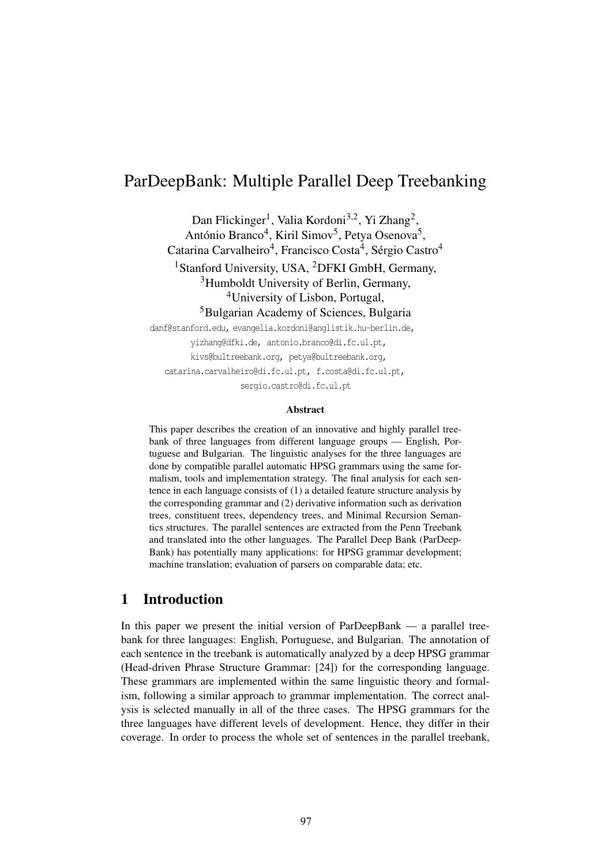# ParDeepBank: Multiple Parallel Deep Treebanking

Dan Flickinger<sup>1</sup>, Valia Kordoni<sup>3,2</sup>, Yi Zhang<sup>2</sup>, António Branco<sup>4</sup>, Kiril Simov<sup>5</sup>, Petya Osenova<sup>5</sup>,

Catarina Carvalheiro<sup>4</sup>, Francisco Costa<sup>4</sup>, Sérgio Castro<sup>4</sup> <sup>1</sup>Stanford University, USA, <sup>2</sup>DFKI GmbH, Germany,

<sup>3</sup>Humboldt University of Berlin, Germany,

4University of Lisbon, Portugal,

5Bulgarian Academy of Sciences, Bulgaria

danf@stanford.edu, evangelia.kordoni@anglistik.hu-berlin.de, yizhang@dfki.de, antonio.branco@di.fc.ul.pt, kivs@bultreebank.org, petya@bultreebank.org, catarina.carvalheiro@di.fc.ul.pt, f.costa@di.fc.ul.pt, sergio.castro@di.fc.ul.pt

#### Abstract

This paper describes the creation of an innovative and highly parallel treebank of three languages from different language groups — English, Portuguese and Bulgarian. The linguistic analyses for the three languages are done by compatible parallel automatic HPSG grammars using the same formalism, tools and implementation strategy. The final analysis for each sentence in each language consists of (1) a detailed feature structure analysis by the corresponding grammar and (2) derivative information such as derivation trees, constituent trees, dependency trees, and Minimal Recursion Semantics structures. The parallel sentences are extracted from the Penn Treebank and translated into the other languages. The Parallel Deep Bank (ParDeep-Bank) has potentially many applications: for HPSG grammar development; machine translation; evaluation of parsers on comparable data; etc.

## 1 Introduction

In this paper we present the initial version of ParDeepBank — a parallel treebank for three languages: English, Portuguese, and Bulgarian. The annotation of each sentence in the treebank is automatically analyzed by a deep HPSG grammar (Head-driven Phrase Structure Grammar: [24]) for the corresponding language. These grammars are implemented within the same linguistic theory and formalism, following a similar approach to grammar implementation. The correct analysis is selected manually in all of the three cases. The HPSG grammars for the three languages have different levels of development. Hence, they differ in their coverage. In order to process the whole set of sentences in the parallel treebank,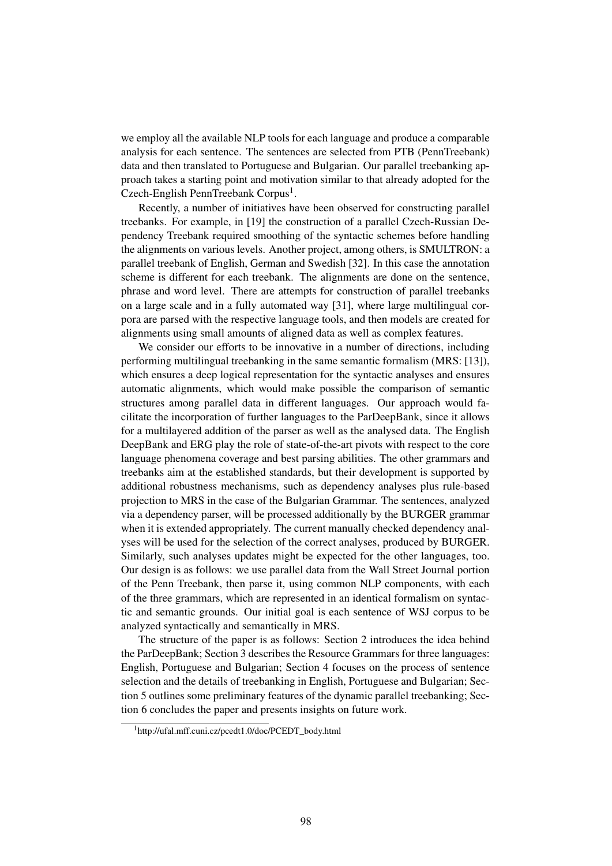we employ all the available NLP tools for each language and produce a comparable analysis for each sentence. The sentences are selected from PTB (PennTreebank) data and then translated to Portuguese and Bulgarian. Our parallel treebanking approach takes a starting point and motivation similar to that already adopted for the Czech-English PennTreebank Corpus<sup>1</sup>.

Recently, a number of initiatives have been observed for constructing parallel treebanks. For example, in [19] the construction of a parallel Czech-Russian Dependency Treebank required smoothing of the syntactic schemes before handling the alignments on various levels. Another project, among others, is SMULTRON: a parallel treebank of English, German and Swedish [32]. In this case the annotation scheme is different for each treebank. The alignments are done on the sentence, phrase and word level. There are attempts for construction of parallel treebanks on a large scale and in a fully automated way [31], where large multilingual corpora are parsed with the respective language tools, and then models are created for alignments using small amounts of aligned data as well as complex features.

We consider our efforts to be innovative in a number of directions, including performing multilingual treebanking in the same semantic formalism (MRS: [13]), which ensures a deep logical representation for the syntactic analyses and ensures automatic alignments, which would make possible the comparison of semantic structures among parallel data in different languages. Our approach would facilitate the incorporation of further languages to the ParDeepBank, since it allows for a multilayered addition of the parser as well as the analysed data. The English DeepBank and ERG play the role of state-of-the-art pivots with respect to the core language phenomena coverage and best parsing abilities. The other grammars and treebanks aim at the established standards, but their development is supported by additional robustness mechanisms, such as dependency analyses plus rule-based projection to MRS in the case of the Bulgarian Grammar. The sentences, analyzed via a dependency parser, will be processed additionally by the BURGER grammar when it is extended appropriately. The current manually checked dependency analyses will be used for the selection of the correct analyses, produced by BURGER. Similarly, such analyses updates might be expected for the other languages, too. Our design is as follows: we use parallel data from the Wall Street Journal portion of the Penn Treebank, then parse it, using common NLP components, with each of the three grammars, which are represented in an identical formalism on syntactic and semantic grounds. Our initial goal is each sentence of WSJ corpus to be analyzed syntactically and semantically in MRS.

The structure of the paper is as follows: Section 2 introduces the idea behind the ParDeepBank; Section 3 describes the Resource Grammars for three languages: English, Portuguese and Bulgarian; Section 4 focuses on the process of sentence selection and the details of treebanking in English, Portuguese and Bulgarian; Section 5 outlines some preliminary features of the dynamic parallel treebanking; Section 6 concludes the paper and presents insights on future work.

<sup>&</sup>lt;sup>1</sup>http://ufal.mff.cuni.cz/pcedt1.0/doc/PCEDT\_body.html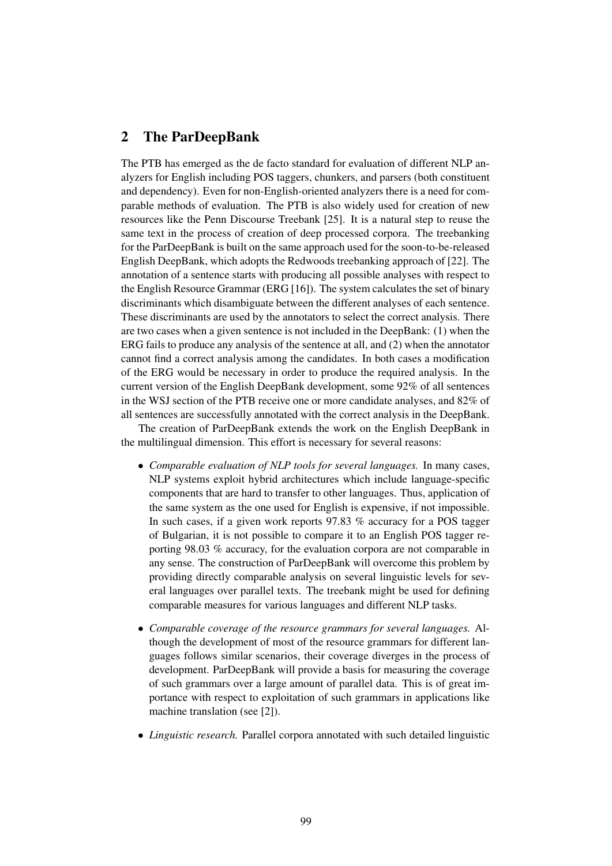## 2 The ParDeepBank

The PTB has emerged as the de facto standard for evaluation of different NLP analyzers for English including POS taggers, chunkers, and parsers (both constituent and dependency). Even for non-English-oriented analyzers there is a need for comparable methods of evaluation. The PTB is also widely used for creation of new resources like the Penn Discourse Treebank [25]. It is a natural step to reuse the same text in the process of creation of deep processed corpora. The treebanking for the ParDeepBank is built on the same approach used for the soon-to-be-released English DeepBank, which adopts the Redwoods treebanking approach of [22]. The annotation of a sentence starts with producing all possible analyses with respect to the English Resource Grammar (ERG [16]). The system calculates the set of binary discriminants which disambiguate between the different analyses of each sentence. These discriminants are used by the annotators to select the correct analysis. There are two cases when a given sentence is not included in the DeepBank: (1) when the ERG fails to produce any analysis of the sentence at all, and (2) when the annotator cannot find a correct analysis among the candidates. In both cases a modification of the ERG would be necessary in order to produce the required analysis. In the current version of the English DeepBank development, some 92% of all sentences in the WSJ section of the PTB receive one or more candidate analyses, and 82% of all sentences are successfully annotated with the correct analysis in the DeepBank.

The creation of ParDeepBank extends the work on the English DeepBank in the multilingual dimension. This effort is necessary for several reasons:

- *Comparable evaluation of NLP tools for several languages.* In many cases, NLP systems exploit hybrid architectures which include language-specific components that are hard to transfer to other languages. Thus, application of the same system as the one used for English is expensive, if not impossible. In such cases, if a given work reports 97.83 % accuracy for a POS tagger of Bulgarian, it is not possible to compare it to an English POS tagger reporting 98.03 % accuracy, for the evaluation corpora are not comparable in any sense. The construction of ParDeepBank will overcome this problem by providing directly comparable analysis on several linguistic levels for several languages over parallel texts. The treebank might be used for defining comparable measures for various languages and different NLP tasks.
- *Comparable coverage of the resource grammars for several languages.* Although the development of most of the resource grammars for different languages follows similar scenarios, their coverage diverges in the process of development. ParDeepBank will provide a basis for measuring the coverage of such grammars over a large amount of parallel data. This is of great importance with respect to exploitation of such grammars in applications like machine translation (see [2]).
- *Linguistic research.* Parallel corpora annotated with such detailed linguistic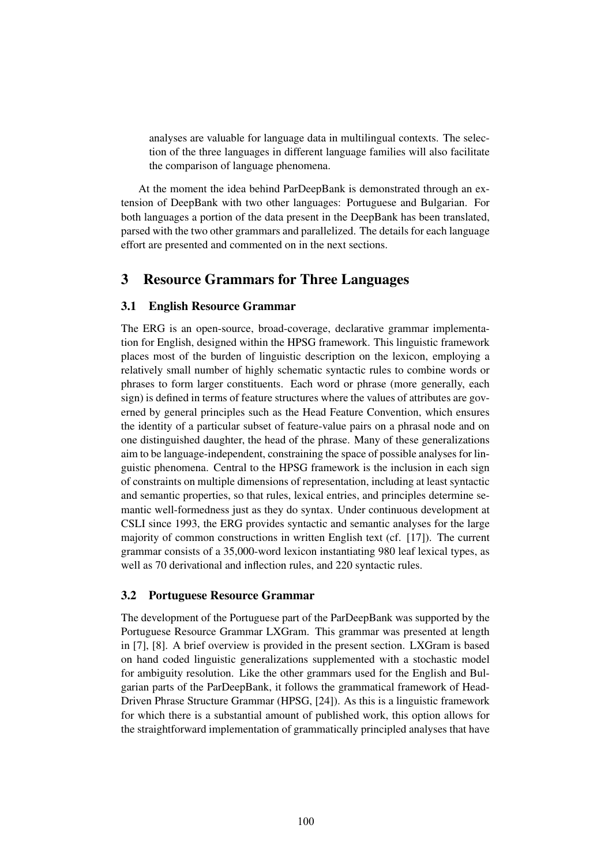analyses are valuable for language data in multilingual contexts. The selection of the three languages in different language families will also facilitate the comparison of language phenomena.

At the moment the idea behind ParDeepBank is demonstrated through an extension of DeepBank with two other languages: Portuguese and Bulgarian. For both languages a portion of the data present in the DeepBank has been translated, parsed with the two other grammars and parallelized. The details for each language effort are presented and commented on in the next sections.

# 3 Resource Grammars for Three Languages

#### 3.1 English Resource Grammar

The ERG is an open-source, broad-coverage, declarative grammar implementation for English, designed within the HPSG framework. This linguistic framework places most of the burden of linguistic description on the lexicon, employing a relatively small number of highly schematic syntactic rules to combine words or phrases to form larger constituents. Each word or phrase (more generally, each sign) is defined in terms of feature structures where the values of attributes are governed by general principles such as the Head Feature Convention, which ensures the identity of a particular subset of feature-value pairs on a phrasal node and on one distinguished daughter, the head of the phrase. Many of these generalizations aim to be language-independent, constraining the space of possible analyses for linguistic phenomena. Central to the HPSG framework is the inclusion in each sign of constraints on multiple dimensions of representation, including at least syntactic and semantic properties, so that rules, lexical entries, and principles determine semantic well-formedness just as they do syntax. Under continuous development at CSLI since 1993, the ERG provides syntactic and semantic analyses for the large majority of common constructions in written English text (cf. [17]). The current grammar consists of a 35,000-word lexicon instantiating 980 leaf lexical types, as well as 70 derivational and inflection rules, and 220 syntactic rules.

#### 3.2 Portuguese Resource Grammar

The development of the Portuguese part of the ParDeepBank was supported by the Portuguese Resource Grammar LXGram. This grammar was presented at length in [7], [8]. A brief overview is provided in the present section. LXGram is based on hand coded linguistic generalizations supplemented with a stochastic model for ambiguity resolution. Like the other grammars used for the English and Bulgarian parts of the ParDeepBank, it follows the grammatical framework of Head-Driven Phrase Structure Grammar (HPSG, [24]). As this is a linguistic framework for which there is a substantial amount of published work, this option allows for the straightforward implementation of grammatically principled analyses that have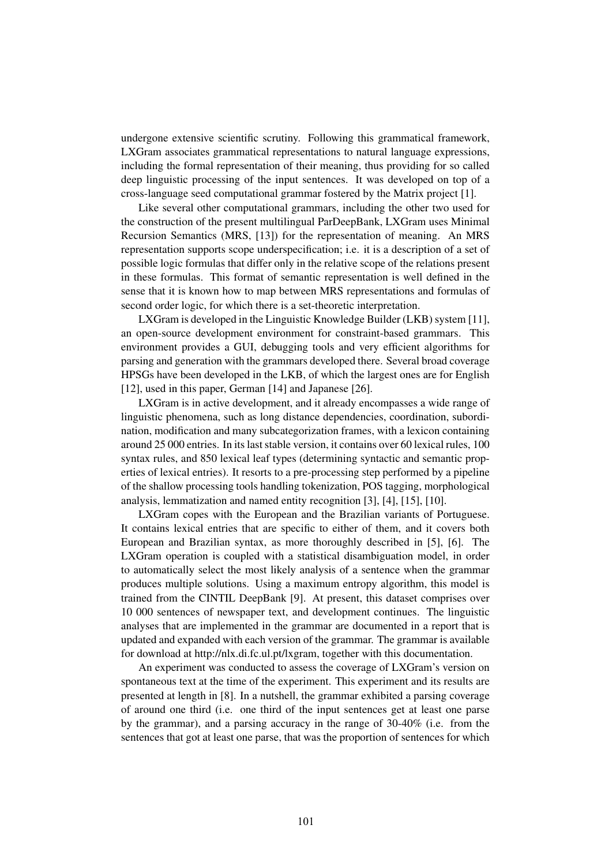undergone extensive scientific scrutiny. Following this grammatical framework, LXGram associates grammatical representations to natural language expressions, including the formal representation of their meaning, thus providing for so called deep linguistic processing of the input sentences. It was developed on top of a cross-language seed computational grammar fostered by the Matrix project [1].

Like several other computational grammars, including the other two used for the construction of the present multilingual ParDeepBank, LXGram uses Minimal Recursion Semantics (MRS, [13]) for the representation of meaning. An MRS representation supports scope underspecification; i.e. it is a description of a set of possible logic formulas that differ only in the relative scope of the relations present in these formulas. This format of semantic representation is well defined in the sense that it is known how to map between MRS representations and formulas of second order logic, for which there is a set-theoretic interpretation.

LXGram is developed in the Linguistic Knowledge Builder (LKB) system [11], an open-source development environment for constraint-based grammars. This environment provides a GUI, debugging tools and very efficient algorithms for parsing and generation with the grammars developed there. Several broad coverage HPSGs have been developed in the LKB, of which the largest ones are for English [12], used in this paper, German [14] and Japanese [26].

LXGram is in active development, and it already encompasses a wide range of linguistic phenomena, such as long distance dependencies, coordination, subordination, modification and many subcategorization frames, with a lexicon containing around 25 000 entries. In its last stable version, it contains over 60 lexical rules, 100 syntax rules, and 850 lexical leaf types (determining syntactic and semantic properties of lexical entries). It resorts to a pre-processing step performed by a pipeline of the shallow processing tools handling tokenization, POS tagging, morphological analysis, lemmatization and named entity recognition [3], [4], [15], [10].

LXGram copes with the European and the Brazilian variants of Portuguese. It contains lexical entries that are specific to either of them, and it covers both European and Brazilian syntax, as more thoroughly described in [5], [6]. The LXGram operation is coupled with a statistical disambiguation model, in order to automatically select the most likely analysis of a sentence when the grammar produces multiple solutions. Using a maximum entropy algorithm, this model is trained from the CINTIL DeepBank [9]. At present, this dataset comprises over 10 000 sentences of newspaper text, and development continues. The linguistic analyses that are implemented in the grammar are documented in a report that is updated and expanded with each version of the grammar. The grammar is available for download at http://nlx.di.fc.ul.pt/lxgram, together with this documentation.

An experiment was conducted to assess the coverage of LXGram's version on spontaneous text at the time of the experiment. This experiment and its results are presented at length in [8]. In a nutshell, the grammar exhibited a parsing coverage of around one third (i.e. one third of the input sentences get at least one parse by the grammar), and a parsing accuracy in the range of 30-40% (i.e. from the sentences that got at least one parse, that was the proportion of sentences for which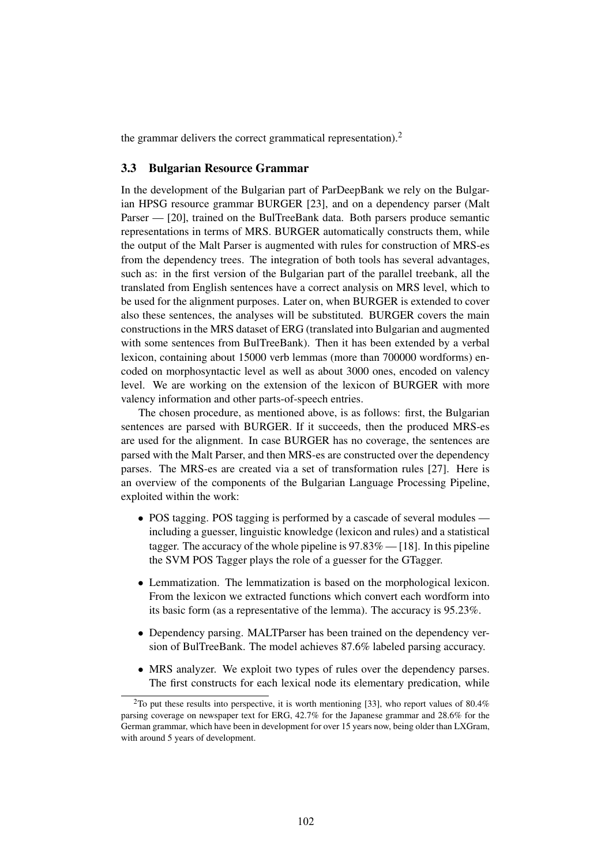the grammar delivers the correct grammatical representation).<sup>2</sup>

#### 3.3 Bulgarian Resource Grammar

In the development of the Bulgarian part of ParDeepBank we rely on the Bulgarian HPSG resource grammar BURGER [23], and on a dependency parser (Malt Parser — [20], trained on the BulTreeBank data. Both parsers produce semantic representations in terms of MRS. BURGER automatically constructs them, while the output of the Malt Parser is augmented with rules for construction of MRS-es from the dependency trees. The integration of both tools has several advantages, such as: in the first version of the Bulgarian part of the parallel treebank, all the translated from English sentences have a correct analysis on MRS level, which to be used for the alignment purposes. Later on, when BURGER is extended to cover also these sentences, the analyses will be substituted. BURGER covers the main constructions in the MRS dataset of ERG (translated into Bulgarian and augmented with some sentences from BulTreeBank). Then it has been extended by a verbal lexicon, containing about 15000 verb lemmas (more than 700000 wordforms) encoded on morphosyntactic level as well as about 3000 ones, encoded on valency level. We are working on the extension of the lexicon of BURGER with more valency information and other parts-of-speech entries.

The chosen procedure, as mentioned above, is as follows: first, the Bulgarian sentences are parsed with BURGER. If it succeeds, then the produced MRS-es are used for the alignment. In case BURGER has no coverage, the sentences are parsed with the Malt Parser, and then MRS-es are constructed over the dependency parses. The MRS-es are created via a set of transformation rules [27]. Here is an overview of the components of the Bulgarian Language Processing Pipeline, exploited within the work:

- POS tagging. POS tagging is performed by a cascade of several modules including a guesser, linguistic knowledge (lexicon and rules) and a statistical tagger. The accuracy of the whole pipeline is  $97.83\%$  — [18]. In this pipeline the SVM POS Tagger plays the role of a guesser for the GTagger.
- Lemmatization. The lemmatization is based on the morphological lexicon. From the lexicon we extracted functions which convert each wordform into its basic form (as a representative of the lemma). The accuracy is 95.23%.
- Dependency parsing. MALTParser has been trained on the dependency version of BulTreeBank. The model achieves 87.6% labeled parsing accuracy.
- MRS analyzer. We exploit two types of rules over the dependency parses. The first constructs for each lexical node its elementary predication, while

<sup>&</sup>lt;sup>2</sup>To put these results into perspective, it is worth mentioning [33], who report values of 80.4% parsing coverage on newspaper text for ERG, 42.7% for the Japanese grammar and 28.6% for the German grammar, which have been in development for over 15 years now, being older than LXGram, with around 5 years of development.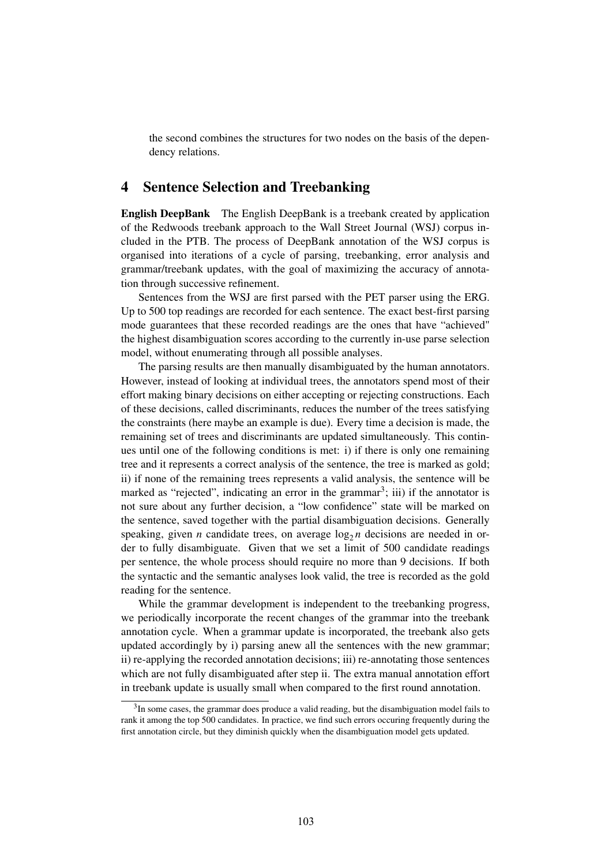the second combines the structures for two nodes on the basis of the dependency relations.

## 4 Sentence Selection and Treebanking

English DeepBank The English DeepBank is a treebank created by application of the Redwoods treebank approach to the Wall Street Journal (WSJ) corpus included in the PTB. The process of DeepBank annotation of the WSJ corpus is organised into iterations of a cycle of parsing, treebanking, error analysis and grammar/treebank updates, with the goal of maximizing the accuracy of annotation through successive refinement.

Sentences from the WSJ are first parsed with the PET parser using the ERG. Up to 500 top readings are recorded for each sentence. The exact best-first parsing mode guarantees that these recorded readings are the ones that have "achieved" the highest disambiguation scores according to the currently in-use parse selection model, without enumerating through all possible analyses.

The parsing results are then manually disambiguated by the human annotators. However, instead of looking at individual trees, the annotators spend most of their effort making binary decisions on either accepting or rejecting constructions. Each of these decisions, called discriminants, reduces the number of the trees satisfying the constraints (here maybe an example is due). Every time a decision is made, the remaining set of trees and discriminants are updated simultaneously. This continues until one of the following conditions is met: i) if there is only one remaining tree and it represents a correct analysis of the sentence, the tree is marked as gold; ii) if none of the remaining trees represents a valid analysis, the sentence will be marked as "rejected", indicating an error in the grammar<sup>3</sup>; iii) if the annotator is not sure about any further decision, a "low confidence" state will be marked on the sentence, saved together with the partial disambiguation decisions. Generally speaking, given *n* candidate trees, on average  $\log_2 n$  decisions are needed in order to fully disambiguate. Given that we set a limit of 500 candidate readings per sentence, the whole process should require no more than 9 decisions. If both the syntactic and the semantic analyses look valid, the tree is recorded as the gold reading for the sentence.

While the grammar development is independent to the treebanking progress, we periodically incorporate the recent changes of the grammar into the treebank annotation cycle. When a grammar update is incorporated, the treebank also gets updated accordingly by i) parsing anew all the sentences with the new grammar; ii) re-applying the recorded annotation decisions; iii) re-annotating those sentences which are not fully disambiguated after step ii. The extra manual annotation effort in treebank update is usually small when compared to the first round annotation.

<sup>&</sup>lt;sup>3</sup>In some cases, the grammar does produce a valid reading, but the disambiguation model fails to rank it among the top 500 candidates. In practice, we find such errors occuring frequently during the first annotation circle, but they diminish quickly when the disambiguation model gets updated.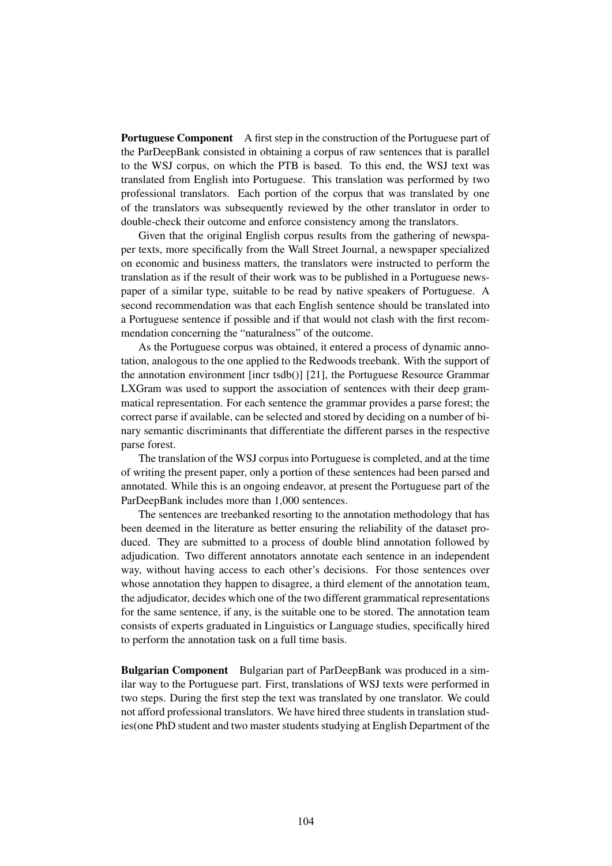**Portuguese Component** A first step in the construction of the Portuguese part of the ParDeepBank consisted in obtaining a corpus of raw sentences that is parallel to the WSJ corpus, on which the PTB is based. To this end, the WSJ text was translated from English into Portuguese. This translation was performed by two professional translators. Each portion of the corpus that was translated by one of the translators was subsequently reviewed by the other translator in order to double-check their outcome and enforce consistency among the translators.

Given that the original English corpus results from the gathering of newspaper texts, more specifically from the Wall Street Journal, a newspaper specialized on economic and business matters, the translators were instructed to perform the translation as if the result of their work was to be published in a Portuguese newspaper of a similar type, suitable to be read by native speakers of Portuguese. A second recommendation was that each English sentence should be translated into a Portuguese sentence if possible and if that would not clash with the first recommendation concerning the "naturalness" of the outcome.

As the Portuguese corpus was obtained, it entered a process of dynamic annotation, analogous to the one applied to the Redwoods treebank. With the support of the annotation environment [incr tsdb()] [21], the Portuguese Resource Grammar LXGram was used to support the association of sentences with their deep grammatical representation. For each sentence the grammar provides a parse forest; the correct parse if available, can be selected and stored by deciding on a number of binary semantic discriminants that differentiate the different parses in the respective parse forest.

The translation of the WSJ corpus into Portuguese is completed, and at the time of writing the present paper, only a portion of these sentences had been parsed and annotated. While this is an ongoing endeavor, at present the Portuguese part of the ParDeepBank includes more than 1,000 sentences.

The sentences are treebanked resorting to the annotation methodology that has been deemed in the literature as better ensuring the reliability of the dataset produced. They are submitted to a process of double blind annotation followed by adjudication. Two different annotators annotate each sentence in an independent way, without having access to each other's decisions. For those sentences over whose annotation they happen to disagree, a third element of the annotation team, the adjudicator, decides which one of the two different grammatical representations for the same sentence, if any, is the suitable one to be stored. The annotation team consists of experts graduated in Linguistics or Language studies, specifically hired to perform the annotation task on a full time basis.

Bulgarian Component Bulgarian part of ParDeepBank was produced in a similar way to the Portuguese part. First, translations of WSJ texts were performed in two steps. During the first step the text was translated by one translator. We could not afford professional translators. We have hired three students in translation studies(one PhD student and two master students studying at English Department of the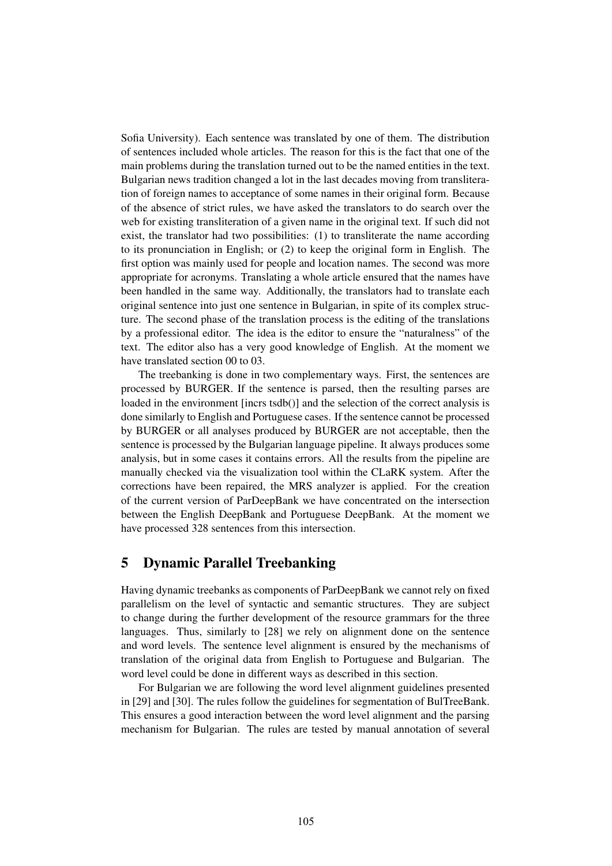Sofia University). Each sentence was translated by one of them. The distribution of sentences included whole articles. The reason for this is the fact that one of the main problems during the translation turned out to be the named entities in the text. Bulgarian news tradition changed a lot in the last decades moving from transliteration of foreign names to acceptance of some names in their original form. Because of the absence of strict rules, we have asked the translators to do search over the web for existing transliteration of a given name in the original text. If such did not exist, the translator had two possibilities: (1) to transliterate the name according to its pronunciation in English; or (2) to keep the original form in English. The first option was mainly used for people and location names. The second was more appropriate for acronyms. Translating a whole article ensured that the names have been handled in the same way. Additionally, the translators had to translate each original sentence into just one sentence in Bulgarian, in spite of its complex structure. The second phase of the translation process is the editing of the translations by a professional editor. The idea is the editor to ensure the "naturalness" of the text. The editor also has a very good knowledge of English. At the moment we have translated section 00 to 03.

The treebanking is done in two complementary ways. First, the sentences are processed by BURGER. If the sentence is parsed, then the resulting parses are loaded in the environment [incrs tsdb()] and the selection of the correct analysis is done similarly to English and Portuguese cases. If the sentence cannot be processed by BURGER or all analyses produced by BURGER are not acceptable, then the sentence is processed by the Bulgarian language pipeline. It always produces some analysis, but in some cases it contains errors. All the results from the pipeline are manually checked via the visualization tool within the CLaRK system. After the corrections have been repaired, the MRS analyzer is applied. For the creation of the current version of ParDeepBank we have concentrated on the intersection between the English DeepBank and Portuguese DeepBank. At the moment we have processed 328 sentences from this intersection.

# 5 Dynamic Parallel Treebanking

Having dynamic treebanks as components of ParDeepBank we cannot rely on fixed parallelism on the level of syntactic and semantic structures. They are subject to change during the further development of the resource grammars for the three languages. Thus, similarly to [28] we rely on alignment done on the sentence and word levels. The sentence level alignment is ensured by the mechanisms of translation of the original data from English to Portuguese and Bulgarian. The word level could be done in different ways as described in this section.

For Bulgarian we are following the word level alignment guidelines presented in [29] and [30]. The rules follow the guidelines for segmentation of BulTreeBank. This ensures a good interaction between the word level alignment and the parsing mechanism for Bulgarian. The rules are tested by manual annotation of several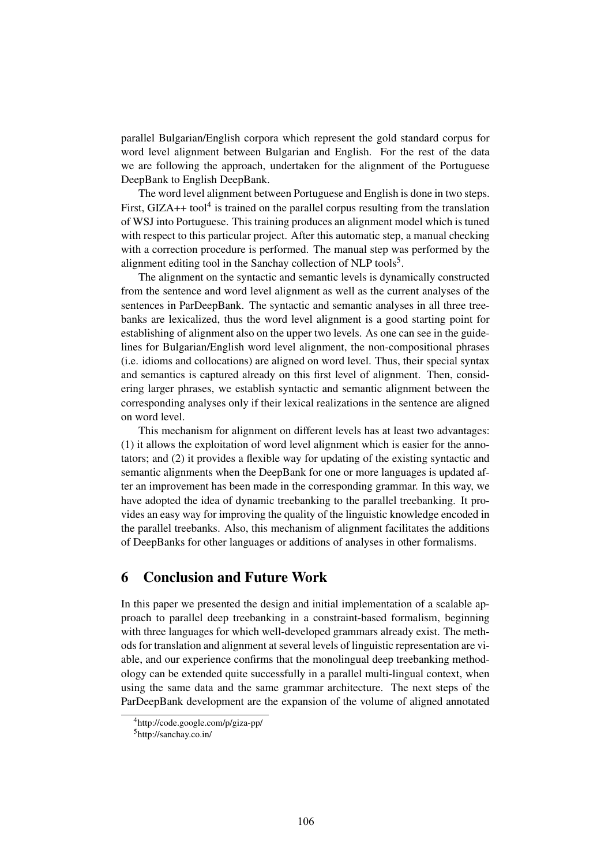parallel Bulgarian/English corpora which represent the gold standard corpus for word level alignment between Bulgarian and English. For the rest of the data we are following the approach, undertaken for the alignment of the Portuguese DeepBank to English DeepBank.

The word level alignment between Portuguese and English is done in two steps. First,  $GIZA++$  tool<sup>4</sup> is trained on the parallel corpus resulting from the translation of WSJ into Portuguese. This training produces an alignment model which is tuned with respect to this particular project. After this automatic step, a manual checking with a correction procedure is performed. The manual step was performed by the alignment editing tool in the Sanchay collection of NLP tools<sup>5</sup>.

The alignment on the syntactic and semantic levels is dynamically constructed from the sentence and word level alignment as well as the current analyses of the sentences in ParDeepBank. The syntactic and semantic analyses in all three treebanks are lexicalized, thus the word level alignment is a good starting point for establishing of alignment also on the upper two levels. As one can see in the guidelines for Bulgarian/English word level alignment, the non-compositional phrases (i.e. idioms and collocations) are aligned on word level. Thus, their special syntax and semantics is captured already on this first level of alignment. Then, considering larger phrases, we establish syntactic and semantic alignment between the corresponding analyses only if their lexical realizations in the sentence are aligned on word level.

This mechanism for alignment on different levels has at least two advantages: (1) it allows the exploitation of word level alignment which is easier for the annotators; and (2) it provides a flexible way for updating of the existing syntactic and semantic alignments when the DeepBank for one or more languages is updated after an improvement has been made in the corresponding grammar. In this way, we have adopted the idea of dynamic treebanking to the parallel treebanking. It provides an easy way for improving the quality of the linguistic knowledge encoded in the parallel treebanks. Also, this mechanism of alignment facilitates the additions of DeepBanks for other languages or additions of analyses in other formalisms.

# 6 Conclusion and Future Work

In this paper we presented the design and initial implementation of a scalable approach to parallel deep treebanking in a constraint-based formalism, beginning with three languages for which well-developed grammars already exist. The methods for translation and alignment at several levels of linguistic representation are viable, and our experience confirms that the monolingual deep treebanking methodology can be extended quite successfully in a parallel multi-lingual context, when using the same data and the same grammar architecture. The next steps of the ParDeepBank development are the expansion of the volume of aligned annotated

<sup>4</sup>http://code.google.com/p/giza-pp/

<sup>5</sup>http://sanchay.co.in/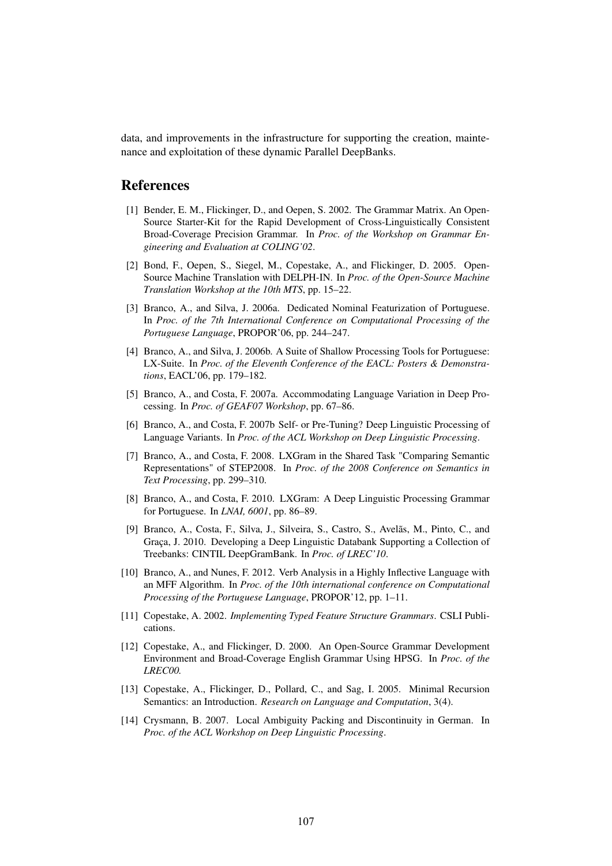data, and improvements in the infrastructure for supporting the creation, maintenance and exploitation of these dynamic Parallel DeepBanks.

### References

- [1] Bender, E. M., Flickinger, D., and Oepen, S. 2002. The Grammar Matrix. An Open-Source Starter-Kit for the Rapid Development of Cross-Linguistically Consistent Broad-Coverage Precision Grammar. In *Proc. of the Workshop on Grammar Engineering and Evaluation at COLING'02*.
- [2] Bond, F., Oepen, S., Siegel, M., Copestake, A., and Flickinger, D. 2005. Open-Source Machine Translation with DELPH-IN. In *Proc. of the Open-Source Machine Translation Workshop at the 10th MTS*, pp. 15–22.
- [3] Branco, A., and Silva, J. 2006a. Dedicated Nominal Featurization of Portuguese. In *Proc. of the 7th International Conference on Computational Processing of the Portuguese Language*, PROPOR'06, pp. 244–247.
- [4] Branco, A., and Silva, J. 2006b. A Suite of Shallow Processing Tools for Portuguese: LX-Suite. In *Proc. of the Eleventh Conference of the EACL: Posters & Demonstrations*, EACL'06, pp. 179–182.
- [5] Branco, A., and Costa, F. 2007a. Accommodating Language Variation in Deep Processing. In *Proc. of GEAF07 Workshop*, pp. 67–86.
- [6] Branco, A., and Costa, F. 2007b Self- or Pre-Tuning? Deep Linguistic Processing of Language Variants. In *Proc. of the ACL Workshop on Deep Linguistic Processing*.
- [7] Branco, A., and Costa, F. 2008. LXGram in the Shared Task "Comparing Semantic Representations" of STEP2008. In *Proc. of the 2008 Conference on Semantics in Text Processing*, pp. 299–310.
- [8] Branco, A., and Costa, F. 2010. LXGram: A Deep Linguistic Processing Grammar for Portuguese. In *LNAI, 6001*, pp. 86–89.
- [9] Branco, A., Costa, F., Silva, J., Silveira, S., Castro, S., Avelãs, M., Pinto, C., and Graça, J. 2010. Developing a Deep Linguistic Databank Supporting a Collection of Treebanks: CINTIL DeepGramBank. In *Proc. of LREC'10*.
- [10] Branco, A., and Nunes, F. 2012. Verb Analysis in a Highly Inflective Language with an MFF Algorithm. In *Proc. of the 10th international conference on Computational Processing of the Portuguese Language*, PROPOR'12, pp. 1–11.
- [11] Copestake, A. 2002. *Implementing Typed Feature Structure Grammars*. CSLI Publications.
- [12] Copestake, A., and Flickinger, D. 2000. An Open-Source Grammar Development Environment and Broad-Coverage English Grammar Using HPSG. In *Proc. of the LREC00.*
- [13] Copestake, A., Flickinger, D., Pollard, C., and Sag, I. 2005. Minimal Recursion Semantics: an Introduction. *Research on Language and Computation*, 3(4).
- [14] Crysmann, B. 2007. Local Ambiguity Packing and Discontinuity in German. In *Proc. of the ACL Workshop on Deep Linguistic Processing*.